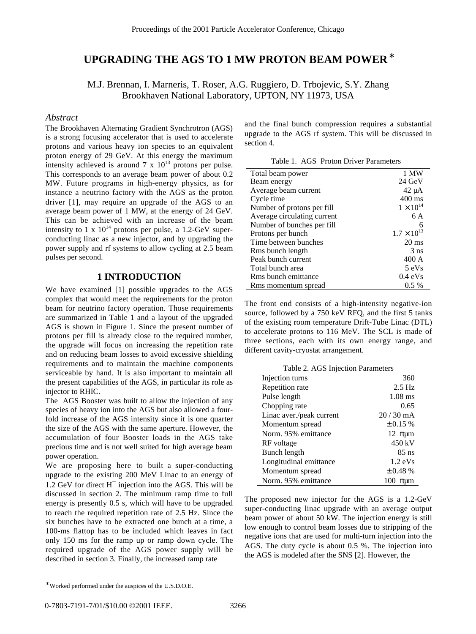# **UPGRADING THE AGS TO 1 MW PROTON BEAM POWER**<sup>∗</sup>

M.J. Brennan, I. Marneris, T. Roser, A.G. Ruggiero, D. Trbojevic, S.Y. Zhang Brookhaven National Laboratory, UPTON, NY 11973, USA

#### *Abstract*

The Brookhaven Alternating Gradient Synchrotron (AGS) is a strong focusing accelerator that is used to accelerate protons and various heavy ion species to an equivalent proton energy of 29 GeV. At this energy the maximum intensity achieved is around 7 x  $10^{13}$  protons per pulse. This corresponds to an average beam power of about 0.2 MW. Future programs in high-energy physics, as for instance a neutrino factory with the AGS as the proton driver [1], may require an upgrade of the AGS to an average beam power of 1 MW, at the energy of 24 GeV. This can be achieved with an increase of the beam intensity to 1 x  $10^{14}$  protons per pulse, a 1.2-GeV superconducting linac as a new injector, and by upgrading the power supply and rf systems to allow cycling at 2.5 beam pulses per second.

## **1 INTRODUCTION**

We have examined [1] possible upgrades to the AGS complex that would meet the requirements for the proton beam for neutrino factory operation. Those requirements are summarized in Table 1 and a layout of the upgraded AGS is shown in Figure 1. Since the present number of protons per fill is already close to the required number, the upgrade will focus on increasing the repetition rate and on reducing beam losses to avoid excessive shielding requirements and to maintain the machine components serviceable by hand. It is also important to maintain all the present capabilities of the AGS, in particular its role as injector to RHIC.

The AGS Booster was built to allow the injection of any species of heavy ion into the AGS but also allowed a fourfold increase of the AGS intensity since it is one quarter the size of the AGS with the same aperture. However, the accumulation of four Booster loads in the AGS take precious time and is not well suited for high average beam power operation.

We are proposing here to built a super-conducting upgrade to the existing 200 MeV Linac to an energy of 1.2 GeV for direct  $H^{-}$  injection into the AGS. This will be discussed in section 2. The minimum ramp time to full energy is presently 0.5 s, which will have to be upgraded to reach the required repetition rate of 2.5 Hz. Since the six bunches have to be extracted one bunch at a time, a 100-ms flattop has to be included which leaves in fact only 150 ms for the ramp up or ramp down cycle. The required upgrade of the AGS power supply will be described in section 3. Finally, the increased ramp rate

and the final bunch compression requires a substantial upgrade to the AGS rf system. This will be discussed in section 4.

| Table 1. AGS Proton Driver Parameters |  |  |  |
|---------------------------------------|--|--|--|
|---------------------------------------|--|--|--|

| Total beam power            | 1 MW                 |
|-----------------------------|----------------------|
| Beam energy                 | $24 \text{ GeV}$     |
| Average beam current        | $42 \mu A$           |
| Cycle time                  | $400 \text{ ms}$     |
| Number of protons per fill  | $1 \times 10^{14}$   |
| Average circulating current | 6 A                  |
| Number of bunches per fill  | 6                    |
| Protons per bunch           | $1.7 \times 10^{13}$ |
| Time between bunches        | $20 \text{ ms}$      |
| Rms bunch length            | 3 <sub>ns</sub>      |
| Peak bunch current          | 400A                 |
| Total bunch area            | 5 eVs                |
| Rms bunch emittance         | $0.4$ eVs            |
| Rms momentum spread         | $0.5\%$              |

The front end consists of a high-intensity negative-ion source, followed by a 750 keV RFQ, and the first 5 tanks of the existing room temperature Drift-Tube Linac (DTL) to accelerate protons to 116 MeV. The SCL is made of three sections, each with its own energy range, and different cavity-cryostat arrangement.

| Table 2. AGS Injection Parameters |                   |  |  |
|-----------------------------------|-------------------|--|--|
| Injection turns                   | 360               |  |  |
| Repetition rate                   | $2.5$ Hz          |  |  |
| Pulse length                      | $1.08$ ms         |  |  |
| Chopping rate                     | 0.65              |  |  |
| Linac aver./peak current          | $20/30$ mA        |  |  |
| Momentum spread                   | $\pm 0.15 \%$     |  |  |
| Norm, 95% emittance               | 12 $\pi \mu m$    |  |  |
| RF voltage                        | 450 kV            |  |  |
| Bunch length                      | $85$ ns           |  |  |
| Longitudinal emittance            | $1.2 \text{ eVs}$ |  |  |
| Momentum spread                   | $\pm 0.48 \%$     |  |  |
| Norm. 95% emittance               | 100 $\pi \mu m$   |  |  |

The proposed new injector for the AGS is a 1.2-GeV super-conducting linac upgrade with an average output beam power of about 50 kW. The injection energy is still low enough to control beam losses due to stripping of the negative ions that are used for multi-turn injection into the AGS. The duty cycle is about 0.5 %. The injection into the AGS is modeled after the SNS [2]. However, the

l

<sup>∗</sup> Worked performed under the auspices of the U.S.D.O.E.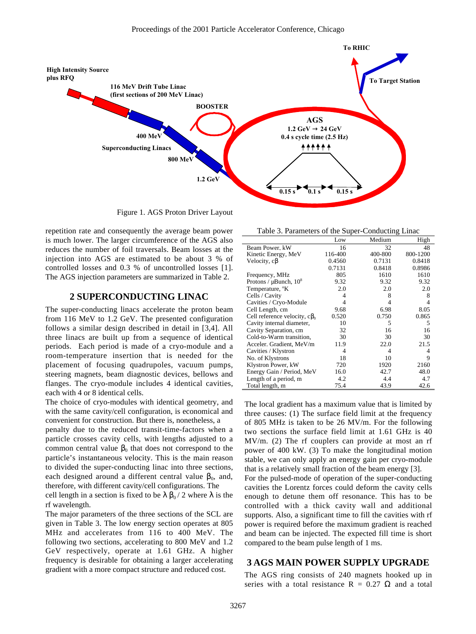

Figure 1. AGS Proton Driver Layout

repetition rate and consequently the average beam power is much lower. The larger circumference of the AGS also reduces the number of foil traversals. Beam losses at the injection into AGS are estimated to be about 3 % of controlled losses and 0.3 % of uncontrolled losses [1]. The AGS injection parameters are summarized in Table 2.

## **2 SUPERCONDUCTING LINAC**

The super-conducting linacs accelerate the proton beam from 116 MeV to 1.2 GeV. The presented configuration follows a similar design described in detail in [3,4]. All three linacs are built up from a sequence of identical periods. Each period is made of a cryo-module and a room-temperature insertion that is needed for the placement of focusing quadrupoles, vacuum pumps, steering magnets, beam diagnostic devices, bellows and flanges. The cryo-module includes 4 identical cavities, each with 4 or 8 identical cells.

The choice of cryo-modules with identical geometry, and with the same cavity/cell configuration, is economical and convenient for construction. But there is, nonetheless, a

penalty due to the reduced transit-time-factors when a particle crosses cavity cells, with lengths adjusted to a common central value  $\beta_0$  that does not correspond to the particle's instantaneous velocity. This is the main reason to divided the super-conducting linac into three sections, each designed around a different central value  $\beta_0$ , and, therefore, with different cavity/cell configurations. The

cell length in a section is fixed to be  $\lambda \beta_0 / 2$  where  $\lambda$  is the rf wavelength.

The major parameters of the three sections of the SCL are given in Table 3. The low energy section operates at 805 MHz and accelerates from 116 to 400 MeV. The following two sections, accelerating to 800 MeV and 1.2 GeV respectively, operate at 1.61 GHz. A higher frequency is desirable for obtaining a larger accelerating gradient with a more compact structure and reduced cost.

| Table 3. Parameters of the Super-Conducting Linac |  |  |  |
|---------------------------------------------------|--|--|--|
|                                                   |  |  |  |

|                                     | Low     | Medium  | High     |
|-------------------------------------|---------|---------|----------|
| Beam Power, kW                      | 16      | 32      | 48       |
| Kinetic Energy, MeV                 | 116-400 | 400-800 | 800-1200 |
| Velocity, $c\beta$                  | 0.4560  | 0.7131  | 0.8418   |
|                                     | 0.7131  | 0.8418  | 0.8986   |
| Frequency, MHz                      | 805     | 1610    | 1610     |
| Protons / $\mu$ Bunch, $10^8$       | 9.32    | 9.32    | 9.32     |
| Temperature, <sup>o</sup> K         | 2.0     | 2.0     | 2.0      |
| Cells / Cavity                      | 4       | 8       | 8        |
| Cavities / Cryo-Module              | 4       |         | 4        |
| Cell Length, cm                     | 9.68    | 6.98    | 8.05     |
| Cell reference velocity, $c\beta_0$ | 0.520   | 0.750   | 0.865    |
| Cavity internal diameter,           | 10      | 5       | 5        |
| Cavity Separation, cm               | 32      | 16      | 16       |
| Cold-to-Warm transition,            | 30      | 30      | 30       |
| Acceler. Gradient, MeV/m            | 11.9    | 22.0    | 21.5     |
| Cavities / Klystron                 | 4       | 4       | 4        |
| No. of Klystrons                    | 18      | 10      | 9        |
| Klystron Power, kW                  | 720     | 1920    | 2160     |
| Energy Gain / Period, MeV           | 16.0    | 42.7    | 48.0     |
| Length of a period, m               | 4.2     | 4.4     | 4.7      |
| Total length, m                     | 75.4    | 43.9    | 42.6     |

The local gradient has a maximum value that is limited by three causes: (1) The surface field limit at the frequency of 805 MHz is taken to be 26 MV/m. For the following two sections the surface field limit at 1.61 GHz is 40 MV/m. (2) The rf couplers can provide at most an rf power of 400 kW. (3) To make the longitudinal motion stable, we can only apply an energy gain per cryo-module that is a relatively small fraction of the beam energy [3].

For the pulsed-mode of operation of the super-conducting cavities the Lorentz forces could deform the cavity cells enough to detune them off resonance. This has to be controlled with a thick cavity wall and additional supports. Also, a significant time to fill the cavities with rf power is required before the maximum gradient is reached and beam can be injected. The expected fill time is short compared to the beam pulse length of 1 ms.

## **3 AGS MAIN POWER SUPPLY UPGRADE**

The AGS ring consists of 240 magnets hooked up in series with a total resistance  $R = 0.27 \Omega$  and a total